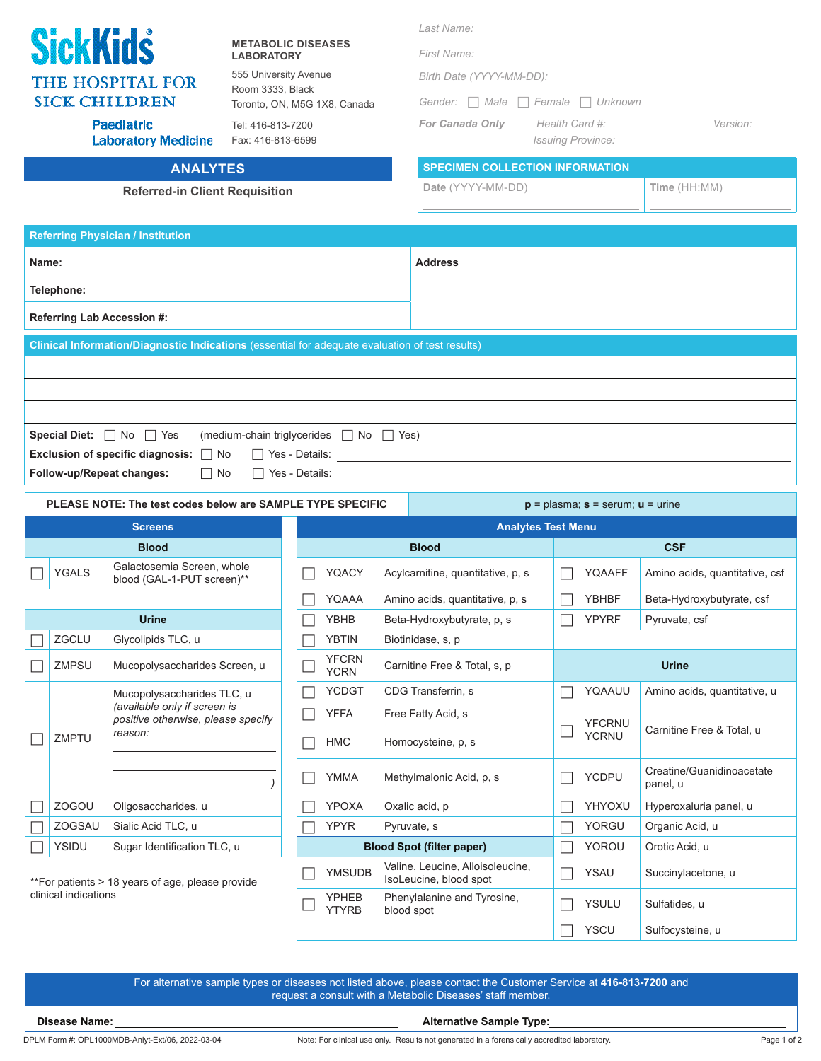|                                            |                                                                                                 |                                                                                      |                                                  |  | Last Name:                  |                                                            |                                            |                                        |                                       |  |  |
|--------------------------------------------|-------------------------------------------------------------------------------------------------|--------------------------------------------------------------------------------------|--------------------------------------------------|--|-----------------------------|------------------------------------------------------------|--------------------------------------------|----------------------------------------|---------------------------------------|--|--|
| <b>SickKids</b><br><b>THE HOSPITAL FOR</b> |                                                                                                 | <b>METABOLIC DISEASES</b><br><b>LABORATORY</b>                                       |                                                  |  | <b>First Name:</b>          |                                                            |                                            |                                        |                                       |  |  |
|                                            |                                                                                                 |                                                                                      | 555 University Avenue                            |  | Birth Date (YYYY-MM-DD):    |                                                            |                                            |                                        |                                       |  |  |
|                                            |                                                                                                 | <b>SICK CHILDREN</b>                                                                 | Room 3333, Black<br>Toronto, ON, M5G 1X8, Canada |  |                             | Gender: Male Female Unknown                                |                                            |                                        |                                       |  |  |
|                                            |                                                                                                 | <b>Paediatric</b><br><b>Laboratory Medicine</b>                                      | Tel: 416-813-7200<br>Fax: 416-813-6599           |  |                             | <b>For Canada Only</b>                                     | Health Card #:<br><b>Issuing Province:</b> |                                        | Version:                              |  |  |
| <b>ANALYTES</b>                            |                                                                                                 |                                                                                      |                                                  |  |                             | <b>SPECIMEN COLLECTION INFORMATION</b>                     |                                            |                                        |                                       |  |  |
| <b>Referred-in Client Requisition</b>      |                                                                                                 |                                                                                      |                                                  |  |                             | Date (YYYY-MM-DD)                                          |                                            |                                        | Time (HH:MM)                          |  |  |
|                                            |                                                                                                 |                                                                                      |                                                  |  |                             |                                                            |                                            |                                        |                                       |  |  |
|                                            |                                                                                                 | <b>Referring Physician / Institution</b>                                             |                                                  |  |                             |                                                            |                                            |                                        |                                       |  |  |
| Name:                                      |                                                                                                 |                                                                                      |                                                  |  |                             | <b>Address</b>                                             |                                            |                                        |                                       |  |  |
|                                            | Telephone:                                                                                      |                                                                                      |                                                  |  |                             |                                                            |                                            |                                        |                                       |  |  |
| Referring Lab Accession #:                 |                                                                                                 |                                                                                      |                                                  |  |                             |                                                            |                                            |                                        |                                       |  |  |
|                                            | Clinical Information/Diagnostic Indications (essential for adequate evaluation of test results) |                                                                                      |                                                  |  |                             |                                                            |                                            |                                        |                                       |  |  |
|                                            |                                                                                                 |                                                                                      |                                                  |  |                             |                                                            |                                            |                                        |                                       |  |  |
|                                            |                                                                                                 |                                                                                      |                                                  |  |                             |                                                            |                                            |                                        |                                       |  |  |
|                                            |                                                                                                 |                                                                                      |                                                  |  |                             |                                                            |                                            |                                        |                                       |  |  |
|                                            |                                                                                                 | (medium-chain triglycerides □ No □ Yes)<br><b>Special Diet:</b> $\Box$ No $\Box$ Yes |                                                  |  |                             |                                                            |                                            |                                        |                                       |  |  |
|                                            |                                                                                                 |                                                                                      |                                                  |  |                             |                                                            |                                            |                                        |                                       |  |  |
|                                            |                                                                                                 | Exclusion of specific diagnosis: No                                                  |                                                  |  |                             |                                                            |                                            |                                        |                                       |  |  |
|                                            |                                                                                                 | Follow-up/Repeat changes:<br>$\Box$ No                                               |                                                  |  |                             | □ Yes - Details:                                           |                                            |                                        |                                       |  |  |
|                                            |                                                                                                 | PLEASE NOTE: The test codes below are SAMPLE TYPE SPECIFIC                           |                                                  |  |                             |                                                            |                                            | $p =$ plasma; $s =$ serum; $u =$ urine |                                       |  |  |
|                                            |                                                                                                 | <b>Screens</b>                                                                       |                                                  |  |                             |                                                            | <b>Analytes Test Menu</b>                  |                                        |                                       |  |  |
|                                            |                                                                                                 | <b>Blood</b>                                                                         |                                                  |  |                             | <b>Blood</b>                                               |                                            |                                        | <b>CSF</b>                            |  |  |
|                                            | <b>YGALS</b>                                                                                    | Galactosemia Screen, whole<br>blood (GAL-1-PUT screen)**                             |                                                  |  | <b>YQACY</b>                | Acylcarnitine, quantitative, p, s                          | $\vert \ \ \vert$                          | YQAAFF                                 | Amino acids, quantitative, csf        |  |  |
|                                            |                                                                                                 |                                                                                      |                                                  |  | YQAAA                       | Amino acids, quantitative, p, s                            |                                            | YBHBF                                  | Beta-Hydroxybutyrate, csf             |  |  |
|                                            |                                                                                                 | <b>Urine</b>                                                                         |                                                  |  | YBHB                        | Beta-Hydroxybutyrate, p, s                                 | $\Box$                                     | YPYRF                                  | Pyruvate, csf                         |  |  |
|                                            | ZGCLU                                                                                           | Glycolipids TLC, u                                                                   |                                                  |  | <b>YBTIN</b>                | Biotinidase, s, p                                          |                                            |                                        |                                       |  |  |
|                                            | ZMPSU                                                                                           | Mucopolysaccharides Screen, u                                                        |                                                  |  | <b>YFCRN</b><br><b>YCRN</b> | Carnitine Free & Total, s, p                               |                                            |                                        | <b>Urine</b>                          |  |  |
|                                            |                                                                                                 | Mucopolysaccharides TLC, u                                                           |                                                  |  | <b>YCDGT</b>                | CDG Transferrin, s                                         |                                            | YQAAUU                                 | Amino acids, quantitative, u          |  |  |
|                                            |                                                                                                 | (available only if screen is<br>positive otherwise, please specify                   |                                                  |  | <b>YFFA</b>                 | Free Fatty Acid, s                                         |                                            | <b>YFCRNU</b>                          |                                       |  |  |
|                                            | ZMPTU                                                                                           | reason:                                                                              |                                                  |  | <b>HMC</b>                  | Homocysteine, p, s                                         | ⊔                                          | <b>YCRNU</b>                           | Carnitine Free & Total, u             |  |  |
|                                            |                                                                                                 |                                                                                      |                                                  |  | <b>YMMA</b>                 | Methylmalonic Acid, p, s                                   | $\Box$                                     | <b>YCDPU</b>                           | Creatine/Guanidinoacetate<br>panel, u |  |  |
|                                            | <b>ZOGOU</b>                                                                                    | Oligosaccharides, u                                                                  |                                                  |  | YPOXA                       | Oxalic acid, p                                             | $\overline{\phantom{a}}$                   | YHYOXU                                 | Hyperoxaluria panel, u                |  |  |
|                                            | ZOGSAU                                                                                          | Sialic Acid TLC, u                                                                   |                                                  |  | <b>YPYR</b>                 | Pyruvate, s                                                | $\Box$                                     | YORGU                                  | Organic Acid, u                       |  |  |
|                                            | YSIDU                                                                                           | Sugar Identification TLC, u                                                          |                                                  |  |                             | <b>Blood Spot (filter paper)</b>                           | $\Box$                                     | YOROU                                  | Orotic Acid, u                        |  |  |
|                                            |                                                                                                 | **For patients > 18 years of age, please provide                                     |                                                  |  | <b>YMSUDB</b>               | Valine, Leucine, Alloisoleucine,<br>IsoLeucine, blood spot | $\Box$                                     | <b>YSAU</b>                            | Succinylacetone, u                    |  |  |

For alternative sample types or diseases not listed above, please contact the Customer Service at **416-813-7200** and request a consult with a Metabolic Diseases' staff member.

□ YSCU Sulfocysteine, u